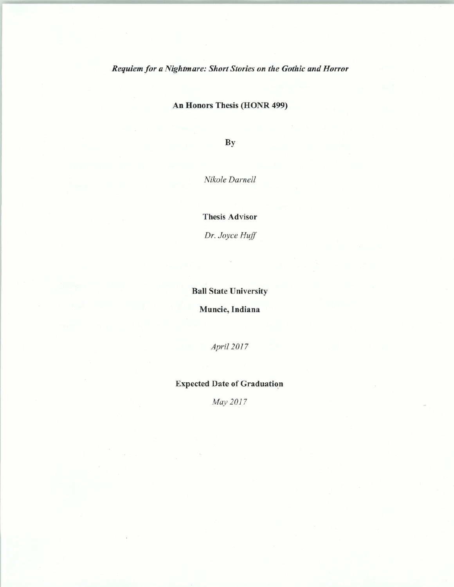*Requiem for a Nightmare: Short Stories on the Gothic and Horror* 

An Honors Thesis (HONR 499)

By

*Nikole Darnell* 

Thesis Advisor

*Dr. Joyce Huff* 

## Ball State University

Muncie, Indiana

*Apri/2017* 

## Expected Date of Graduation

*May 2017*